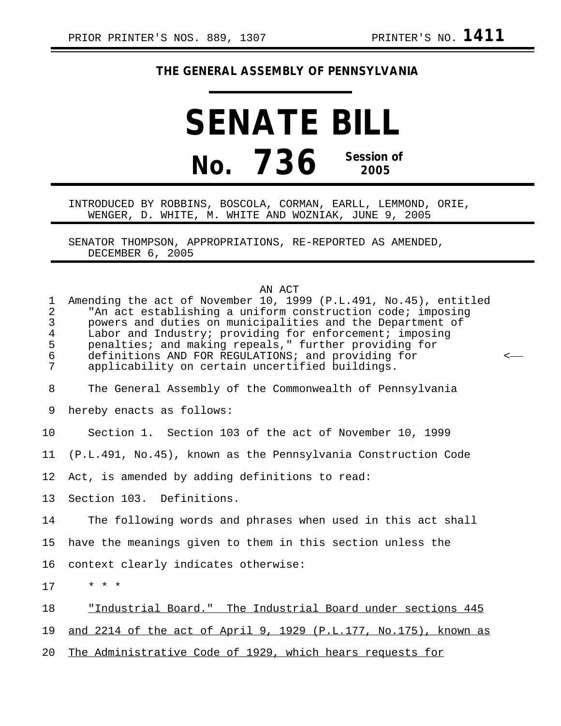## **THE GENERAL ASSEMBLY OF PENNSYLVANIA**

## **SENATE BILL No. 736 Session of 2005**

INTRODUCED BY ROBBINS, BOSCOLA, CORMAN, EARLL, LEMMOND, ORIE, WENGER, D. WHITE, M. WHITE AND WOZNIAK, JUNE 9, 2005

SENATOR THOMPSON, APPROPRIATIONS, RE-REPORTED AS AMENDED, DECEMBER 6, 2005

AN ACT

| $\mathbf{1}$<br>2<br>3<br>$\overline{4}$<br>5<br>$\epsilon$<br>7 | AN ACI<br>Amending the act of November 10, 1999 (P.L.491, No.45), entitled<br>"An act establishing a uniform construction code; imposing<br>powers and duties on municipalities and the Department of<br>Labor and Industry; providing for enforcement; imposing<br>penalties; and making repeals," further providing for<br>definitions AND FOR REGULATIONS; and providing for<br>applicability on certain uncertified buildings. | $\,<\,$ |
|------------------------------------------------------------------|------------------------------------------------------------------------------------------------------------------------------------------------------------------------------------------------------------------------------------------------------------------------------------------------------------------------------------------------------------------------------------------------------------------------------------|---------|
| $\,8\,$                                                          | The General Assembly of the Commonwealth of Pennsylvania                                                                                                                                                                                                                                                                                                                                                                           |         |
| 9                                                                | hereby enacts as follows:                                                                                                                                                                                                                                                                                                                                                                                                          |         |
| 10                                                               | Section 1. Section 103 of the act of November 10, 1999                                                                                                                                                                                                                                                                                                                                                                             |         |
| 11                                                               | (P.L.491, No.45), known as the Pennsylvania Construction Code                                                                                                                                                                                                                                                                                                                                                                      |         |
| 12                                                               | Act, is amended by adding definitions to read:                                                                                                                                                                                                                                                                                                                                                                                     |         |
| 13                                                               | Section 103. Definitions.                                                                                                                                                                                                                                                                                                                                                                                                          |         |
| 14                                                               | The following words and phrases when used in this act shall                                                                                                                                                                                                                                                                                                                                                                        |         |
| 15                                                               | have the meanings given to them in this section unless the                                                                                                                                                                                                                                                                                                                                                                         |         |
| 16                                                               | context clearly indicates otherwise:                                                                                                                                                                                                                                                                                                                                                                                               |         |
| 17                                                               | $\star$ $\star$ $\star$                                                                                                                                                                                                                                                                                                                                                                                                            |         |
| 18                                                               | "Industrial Board." The Industrial Board under sections 445                                                                                                                                                                                                                                                                                                                                                                        |         |
| 19                                                               | and 2214 of the act of April 9, 1929 (P.L.177, No.175), known as                                                                                                                                                                                                                                                                                                                                                                   |         |
| 20                                                               | The Administrative Code of 1929, which hears requests for                                                                                                                                                                                                                                                                                                                                                                          |         |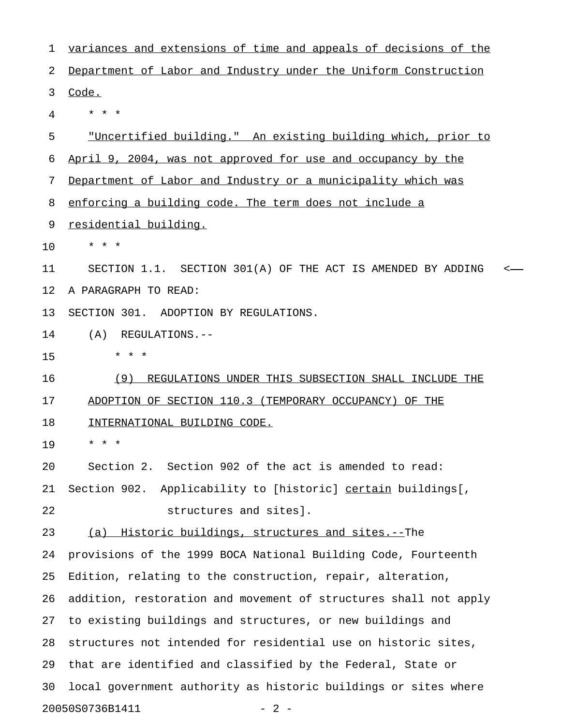| 1  | variances and extensions of time and appeals of decisions of the    |
|----|---------------------------------------------------------------------|
| 2  | Department of Labor and Industry under the Uniform Construction     |
| 3  | Code.                                                               |
| 4  | * * *                                                               |
| 5  | <u>"Uncertified building." An existing building which, prior to</u> |
| 6  | April 9, 2004, was not approved for use and occupancy by the        |
| 7  | Department of Labor and Industry or a municipality which was        |
| 8  | enforcing a building code. The term does not include a              |
| 9  | residential building.                                               |
| 10 | $\star$<br>$\star$<br>$\star$                                       |
| 11 | SECTION 1.1. SECTION 301(A) OF THE ACT IS AMENDED BY ADDING<br><    |
| 12 | A PARAGRAPH TO READ:                                                |
| 13 | SECTION 301. ADOPTION BY REGULATIONS.                               |
| 14 | (A)<br>REGULATIONS.--                                               |
| 15 | $\star$ $\star$<br>$\star$                                          |
| 16 | (9)<br>REGULATIONS UNDER THIS SUBSECTION SHALL INCLUDE THE          |
| 17 | ADOPTION OF SECTION 110.3 (TEMPORARY OCCUPANCY) OF THE              |
| 18 | INTERNATIONAL BUILDING CODE.                                        |
| 19 | $\star$                                                             |
| 20 | Section 2. Section 902 of the act is amended to read:               |
| 21 | Section 902. Applicability to [historic] certain buildings[,        |
| 22 | structures and sites].                                              |
| 23 | (a) Historic buildings, structures and sites.--The                  |
| 24 | provisions of the 1999 BOCA National Building Code, Fourteenth      |
| 25 | Edition, relating to the construction, repair, alteration,          |
| 26 | addition, restoration and movement of structures shall not apply    |
| 27 | to existing buildings and structures, or new buildings and          |
| 28 | structures not intended for residential use on historic sites,      |
| 29 | that are identified and classified by the Federal, State or         |
| 30 | local government authority as historic buildings or sites where     |
|    | 20050S0736B1411<br>$-2-$                                            |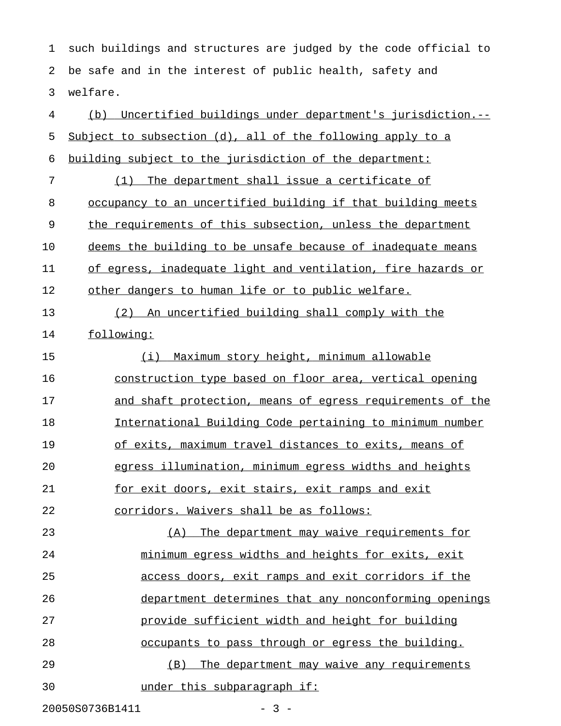1 such buildings and structures are judged by the code official to 2 be safe and in the interest of public health, safety and 3 welfare.

| $\overline{4}$ | Uncertified buildings under department's jurisdiction.--<br>(b) |
|----------------|-----------------------------------------------------------------|
| 5              | Subject to subsection (d), all of the following apply to a      |
| 6              | building subject to the jurisdiction of the department:         |
| 7              | (1) The department shall issue a certificate of                 |
| 8              | occupancy to an uncertified building if that building meets     |
| 9              | the requirements of this subsection, unless the department      |
| 10             | deems the building to be unsafe because of inadequate means     |
| 11             | of egress, inadequate light and ventilation, fire hazards or    |
| 12             | other dangers to human life or to public welfare.               |
| 13             | (2) An uncertified building shall comply with the               |
| 14             | following:                                                      |
| 15             | Maximum story height, minimum allowable<br>(i)                  |
| 16             | construction type based on floor area, vertical opening         |
| 17             | and shaft protection, means of egress requirements of the       |
| 18             | International Building Code pertaining to minimum number        |
| 19             | of exits, maximum travel distances to exits, means of           |
| 20             | egress illumination, minimum egress widths and heights          |
| 21             | for exit doors, exit stairs, exit ramps and exit                |
| 22             | corridors. Waivers shall be as follows:                         |
| 23             | (A) The department may waive requirements for                   |
| 24             | minimum egress widths and heights for exits, exit               |
| 25             | access doors, exit ramps and exit corridors if the              |
| 26             | department determines that any nonconforming openings           |
| 27             | provide sufficient width and height for building                |
| 28             | occupants to pass through or egress the building.               |
| 29             | The department may waive any requirements<br>(B)                |
| 30             | under this subparagraph if:                                     |
|                | 20050S0736B1411<br>$-3 -$                                       |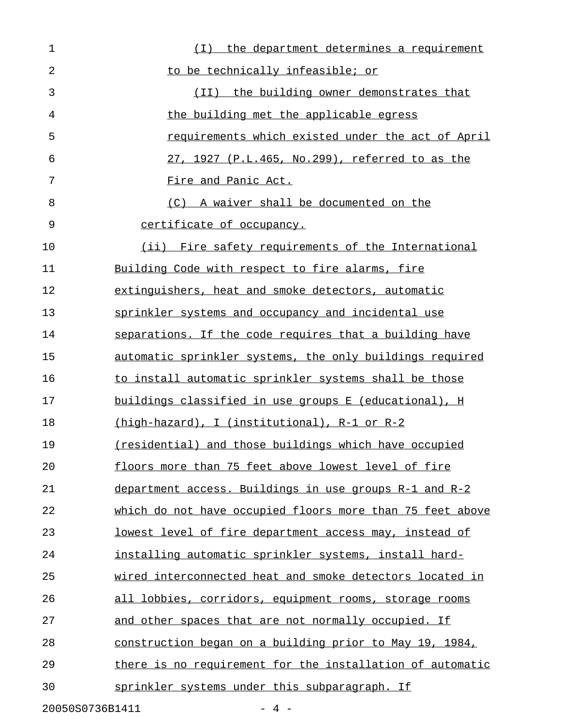1 1 and  $(I)$  the department determines a requirement 2 to be technically infeasible; or 3 and  $(II)$  the building owner demonstrates that 4 the building met the applicable egress 5 **1.2.5** requirements which existed under the act of April 6 27, 1927 (P.L.465, No.299), referred to as the 7 Fire and Panic Act. 8 (C) A waiver shall be documented on the 9 certificate of occupancy. 10 (ii) Fire safety requirements of the International 11 Building Code with respect to fire alarms, fire 12 extinguishers, heat and smoke detectors, automatic 13 sprinkler systems and occupancy and incidental use 14 separations. If the code requires that a building have 15 automatic sprinkler systems, the only buildings required 16 to install automatic sprinkler systems shall be those 17 buildings classified in use groups E (educational), H 18 (high-hazard), I (institutional), R-1 or R-2 19 (residential) and those buildings which have occupied 20 floors more than 75 feet above lowest level of fire 21 department access. Buildings in use groups R-1 and R-2 22 which do not have occupied floors more than 75 feet above 23 lowest level of fire department access may, instead of 24 installing automatic sprinkler systems, install hard-25 wired interconnected heat and smoke detectors located in 26 all lobbies, corridors, equipment rooms, storage rooms 27 and other spaces that are not normally occupied. If 28 construction began on a building prior to May 19, 1984, 29 there is no requirement for the installation of automatic 30 sprinkler systems under this subparagraph. If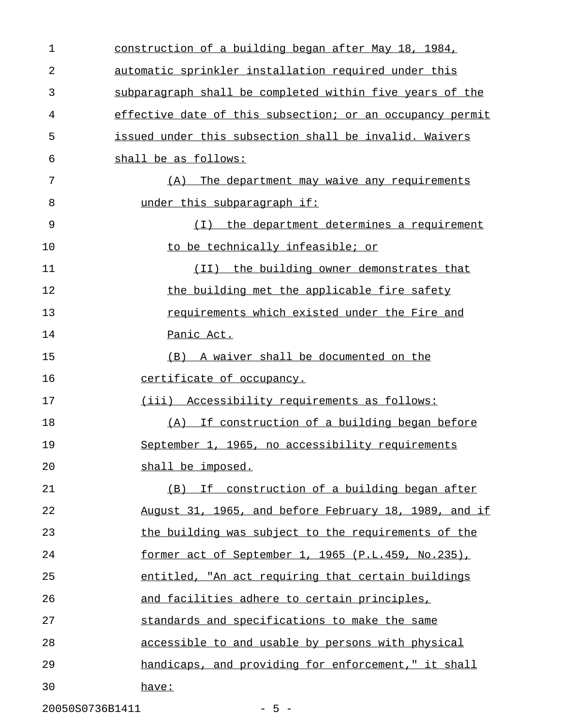| $\mathbf 1$ | construction of a building began after May 18, 1984,      |
|-------------|-----------------------------------------------------------|
| 2           | automatic sprinkler installation required under this      |
| 3           | subparagraph shall be completed within five years of the  |
| 4           | effective date of this subsection; or an occupancy permit |
| 5           | issued under this subsection shall be invalid. Waivers    |
| 6           | shall be as follows:                                      |
| 7           | The department may waive any requirements<br>(A)          |
| 8           | under this subparagraph if:                               |
| 9           | (I) the department determines a requirement               |
| 10          | to be technically infeasible; or                          |
| 11          | (II) the building owner demonstrates that                 |
| 12          | the building met the applicable fire safety               |
| 13          | requirements which existed under the Fire and             |
| 14          | Panic Act.                                                |
| 15          | (B) A waiver shall be documented on the                   |
| 16          | <u>certificate of occupancy.</u>                          |
| 17          | (iii) Accessibility requirements as follows:              |
| 18          | (A) If construction of a building began before            |
| 19          | September 1, 1965, no accessibility requirements          |
| 20          | shall be imposed.                                         |
| 21          | (B) If construction of a building began after             |
| 22          | August 31, 1965, and before February 18, 1989, and if     |
| 23          | the building was subject to the requirements of the       |
| 24          | former act of September 1, 1965 (P.L.459, No.235),        |
| 25          | entitled, "An act requiring that certain buildings        |
| 26          | and facilities adhere to certain principles,              |
| 27          | standards and specifications to make the same             |
| 28          | accessible to and usable by persons with physical         |
| 29          | handicaps, and providing for enforcement," it shall       |
| 30          | have:                                                     |
|             |                                                           |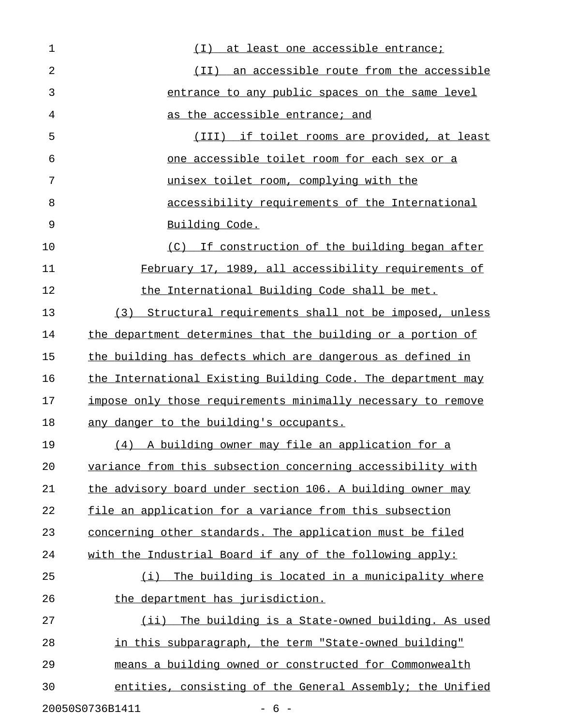| 1  | <u>at least one accessible entrance;</u><br>(T)              |
|----|--------------------------------------------------------------|
| 2  | (II) an accessible route from the accessible                 |
| 3  | entrance to any public spaces on the same level              |
| 4  | as the accessible entrance; and                              |
| 5  | (III) if toilet rooms are provided, at least                 |
| 6  | <u>one accessible toilet room for each sex or a</u>          |
| 7  | unisex toilet room, complying with the                       |
| 8  | accessibility requirements of the International              |
| 9  | Building Code.                                               |
| 10 | (C) If construction of the building began after              |
| 11 | February 17, 1989, all accessibility requirements of         |
| 12 | the International Building Code shall be met.                |
| 13 | (3) Structural requirements shall not be imposed, unless     |
| 14 | the department determines that the building or a portion of  |
| 15 | the building has defects which are dangerous as defined in   |
| 16 | the International Existing Building Code. The department may |
| 17 | impose only those requirements minimally necessary to remove |
| 18 | any danger to the building's occupants.                      |
| 19 | (4) A building owner may file an application for a           |
| 20 | variance from this subsection concerning accessibility with  |
| 21 | the advisory board under section 106. A building owner may   |
| 22 | file an application for a variance from this subsection      |
| 23 | concerning other standards. The application must be filed    |
| 24 | with the Industrial Board if any of the following apply:     |
| 25 | The building is located in a municipality where<br>(i)       |
| 26 | <u>the department has jurisdiction.</u>                      |
| 27 | (i)<br>The building is a State-owned building. As used       |
| 28 | in this subparagraph, the term "State-owned building"        |
| 29 | means a building owned or constructed for Commonwealth       |
| 30 | entities, consisting of the General Assembly; the Unified    |
|    | 20050S0736B1411<br>$-6-$                                     |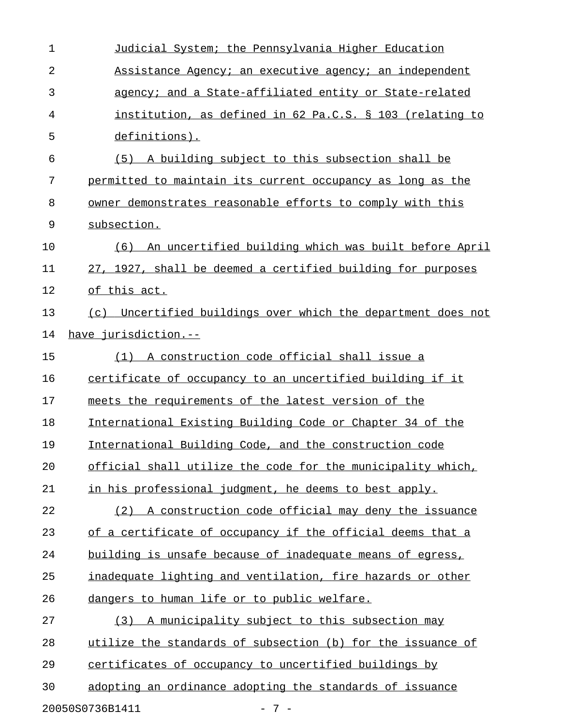| 1              | Judicial System; the Pennsylvania Higher Education           |
|----------------|--------------------------------------------------------------|
| $\overline{2}$ | Assistance Agency; an executive agency; an independent       |
| 3              | agency; and a State-affiliated entity or State-related       |
| 4              | institution, as defined in 62 Pa.C.S. § 103 (relating to     |
| 5              | definitions).                                                |
| 6              | (5) A building subject to this subsection shall be           |
| 7              | permitted to maintain its current occupancy as long as the   |
| 8              | owner demonstrates reasonable efforts to comply with this    |
| 9              | subsection.                                                  |
| 10             | An uncertified building which was built before April<br>(6)  |
| 11             | 27, 1927, shall be deemed a certified building for purposes  |
| 12             | of this act.                                                 |
| 13             | (c) Uncertified buildings over which the department does not |
| 14             | have jurisdiction.--                                         |
| 15             | (1) A construction code official shall issue a               |
| 16             | certificate of occupancy to an uncertified building if it    |
| 17             | meets the requirements of the latest version of the          |
| 18             | International Existing Building Code or Chapter 34 of the    |
| 19             | International Building Code, and the construction code       |
| 20             | official shall utilize the code for the municipality which,  |
| 21             | in his professional judgment, he deems to best apply.        |
| 22             | (2) A construction code official may deny the issuance       |
| 23             | of a certificate of occupancy if the official deems that a   |
| 24             | building is unsafe because of inadequate means of egress,    |
| 25             | inadequate lighting and ventilation, fire hazards or other   |
| 26             | dangers to human life or to public welfare.                  |
| 27             | (3) A municipality subject to this subsection may            |
| 28             | utilize the standards of subsection (b) for the issuance of  |
| 29             | certificates of occupancy to uncertified buildings by        |
| 30             | adopting an ordinance adopting the standards of issuance     |
|                | 20050S0736B1411<br>$-7-$                                     |